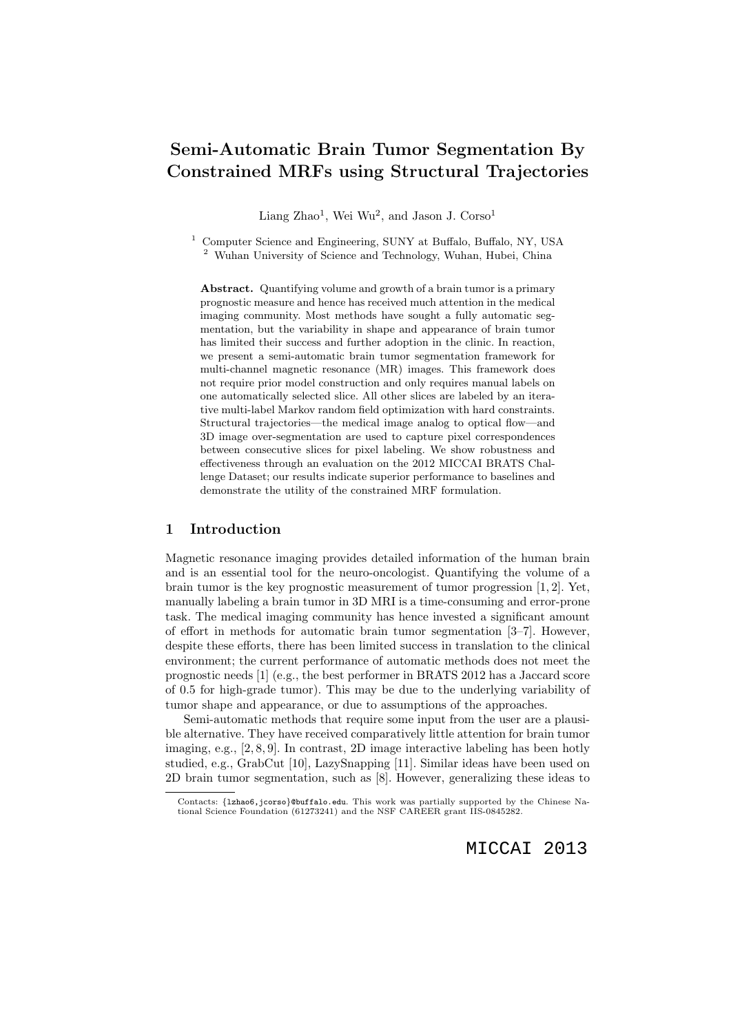# Semi-Automatic Brain Tumor Segmentation By Constrained MRFs using Structural Trajectories

Liang Zhao<sup>1</sup>, Wei Wu<sup>2</sup>, and Jason J. Corso<sup>1</sup>

<sup>1</sup> Computer Science and Engineering, SUNY at Buffalo, Buffalo, NY, USA <sup>2</sup> Wuhan University of Science and Technology, Wuhan, Hubei, China

Abstract. Quantifying volume and growth of a brain tumor is a primary prognostic measure and hence has received much attention in the medical imaging community. Most methods have sought a fully automatic segmentation, but the variability in shape and appearance of brain tumor has limited their success and further adoption in the clinic. In reaction, we present a semi-automatic brain tumor segmentation framework for multi-channel magnetic resonance (MR) images. This framework does not require prior model construction and only requires manual labels on one automatically selected slice. All other slices are labeled by an iterative multi-label Markov random field optimization with hard constraints. Structural trajectories—the medical image analog to optical flow—and 3D image over-segmentation are used to capture pixel correspondences between consecutive slices for pixel labeling. We show robustness and effectiveness through an evaluation on the 2012 MICCAI BRATS Challenge Dataset; our results indicate superior performance to baselines and demonstrate the utility of the constrained MRF formulation.

# 1 Introduction

Magnetic resonance imaging provides detailed information of the human brain and is an essential tool for the neuro-oncologist. Quantifying the volume of a brain tumor is the key prognostic measurement of tumor progression [1, 2]. Yet, manually labeling a brain tumor in 3D MRI is a time-consuming and error-prone task. The medical imaging community has hence invested a significant amount of effort in methods for automatic brain tumor segmentation [3–7]. However, despite these efforts, there has been limited success in translation to the clinical environment; the current performance of automatic methods does not meet the prognostic needs [1] (e.g., the best performer in BRATS 2012 has a Jaccard score of 0.5 for high-grade tumor). This may be due to the underlying variability of tumor shape and appearance, or due to assumptions of the approaches.

Semi-automatic methods that require some input from the user are a plausible alternative. They have received comparatively little attention for brain tumor imaging, e.g., [2, 8, 9]. In contrast, 2D image interactive labeling has been hotly studied, e.g., GrabCut [10], LazySnapping [11]. Similar ideas have been used on 2D brain tumor segmentation, such as [8]. However, generalizing these ideas to

Contacts: {lzhao6,jcorso}@buffalo.edu. This work was partially supported by the Chinese National Science Foundation (61273241) and the NSF CAREER grant IIS-0845282.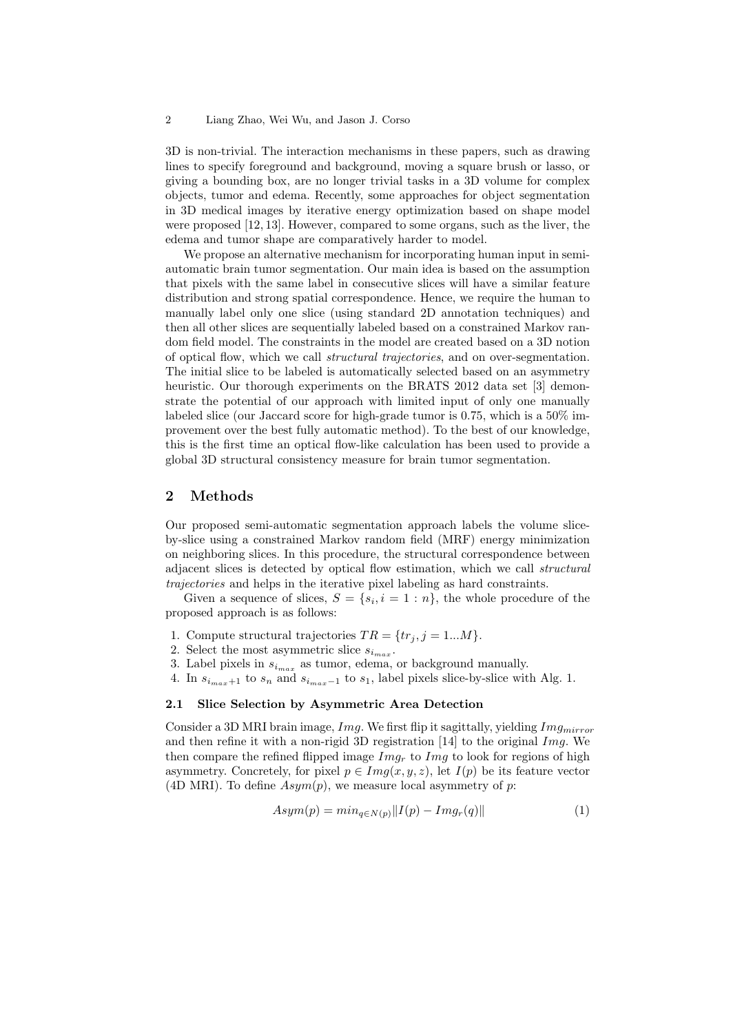#### 2 Liang Zhao, Wei Wu, and Jason J. Corso

3D is non-trivial. The interaction mechanisms in these papers, such as drawing lines to specify foreground and background, moving a square brush or lasso, or giving a bounding box, are no longer trivial tasks in a 3D volume for complex objects, tumor and edema. Recently, some approaches for object segmentation in 3D medical images by iterative energy optimization based on shape model were proposed [12, 13]. However, compared to some organs, such as the liver, the edema and tumor shape are comparatively harder to model.

We propose an alternative mechanism for incorporating human input in semiautomatic brain tumor segmentation. Our main idea is based on the assumption that pixels with the same label in consecutive slices will have a similar feature distribution and strong spatial correspondence. Hence, we require the human to manually label only one slice (using standard 2D annotation techniques) and then all other slices are sequentially labeled based on a constrained Markov random field model. The constraints in the model are created based on a 3D notion of optical flow, which we call structural trajectories, and on over-segmentation. The initial slice to be labeled is automatically selected based on an asymmetry heuristic. Our thorough experiments on the BRATS 2012 data set [3] demonstrate the potential of our approach with limited input of only one manually labeled slice (our Jaccard score for high-grade tumor is 0.75, which is a 50% improvement over the best fully automatic method). To the best of our knowledge, this is the first time an optical flow-like calculation has been used to provide a global 3D structural consistency measure for brain tumor segmentation.

# 2 Methods

Our proposed semi-automatic segmentation approach labels the volume sliceby-slice using a constrained Markov random field (MRF) energy minimization on neighboring slices. In this procedure, the structural correspondence between adjacent slices is detected by optical flow estimation, which we call structural trajectories and helps in the iterative pixel labeling as hard constraints.

Given a sequence of slices,  $S = \{s_i, i = 1 : n\}$ , the whole procedure of the proposed approach is as follows:

- 1. Compute structural trajectories  $TR = \{tr_j, j = 1...M\}.$
- 2. Select the most asymmetric slice  $s_{i_{max}}$ .
- 3. Label pixels in  $s_{i_{max}}$  as tumor, edema, or background manually.
- 4. In  $s_{i_{max}+1}$  to  $s_n$  and  $s_{i_{max}-1}$  to  $s_1$ , label pixels slice-by-slice with Alg. 1.

## 2.1 Slice Selection by Asymmetric Area Detection

Consider a 3D MRI brain image,  $Img.$  We first flip it sagittally, yielding  $Img_{mirror}$ and then refine it with a non-rigid 3D registration  $|14|$  to the original Img. We then compare the refined flipped image  $Im g_r$  to  $Im g$  to look for regions of high asymmetry. Concretely, for pixel  $p \in Img(x, y, z)$ , let  $I(p)$  be its feature vector (4D MRI). To define  $Asym(p)$ , we measure local asymmetry of p:

$$
Asym(p) = min_{q \in N(p)} ||I(p) - Imgr(q)|| \qquad (1)
$$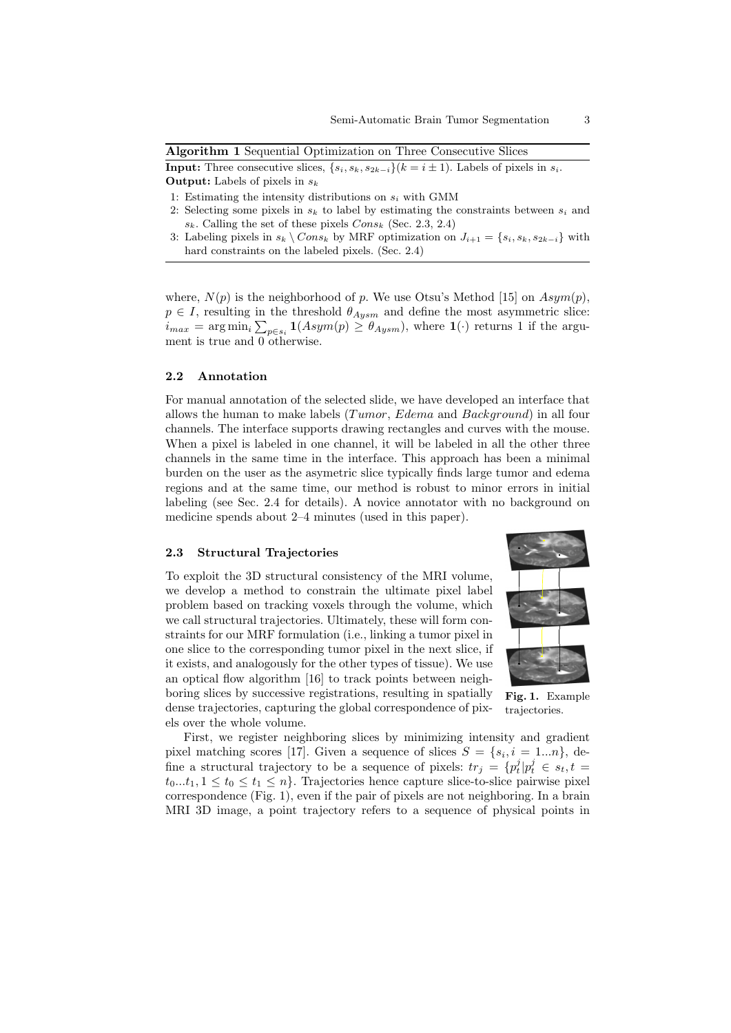Algorithm 1 Sequential Optimization on Three Consecutive Slices

**Input:** Three consecutive slices,  $\{s_i, s_k, s_{2k-i}\}(k = i \pm 1)$ . Labels of pixels in  $s_i$ . **Output:** Labels of pixels in  $s_k$ 

- 1: Estimating the intensity distributions on  $s_i$  with GMM
- 2: Selecting some pixels in  $s_k$  to label by estimating the constraints between  $s_i$  and  $s_k$ . Calling the set of these pixels  $Cons_k$  (Sec. 2.3, 2.4)
- 3: Labeling pixels in  $s_k \setminus Cons_k$  by MRF optimization on  $J_{i+1} = \{s_i, s_k, s_{2k-i}\}\$  with hard constraints on the labeled pixels. (Sec. 2.4)

where,  $N(p)$  is the neighborhood of p. We use Otsu's Method [15] on  $Asym(p)$ ,  $p \in I$ , resulting in the threshold  $\theta_{Aysm}$  and define the most asymmetric slice:  $i_{max} = \arg \min_i \sum_{p \in s_i} \mathbf{1}(Asym(p) \ge \theta_{Aysm}),$  where  $\mathbf{1}(\cdot)$  returns 1 if the argument is true and 0 otherwise.

## 2.2 Annotation

For manual annotation of the selected slide, we have developed an interface that allows the human to make labels (*Tumor*, *Edema* and *Background*) in all four channels. The interface supports drawing rectangles and curves with the mouse. When a pixel is labeled in one channel, it will be labeled in all the other three channels in the same time in the interface. This approach has been a minimal burden on the user as the asymetric slice typically finds large tumor and edema regions and at the same time, our method is robust to minor errors in initial labeling (see Sec. 2.4 for details). A novice annotator with no background on medicine spends about 2–4 minutes (used in this paper).

#### 2.3 Structural Trajectories

To exploit the 3D structural consistency of the MRI volume, we develop a method to constrain the ultimate pixel label problem based on tracking voxels through the volume, which we call structural trajectories. Ultimately, these will form constraints for our MRF formulation (i.e., linking a tumor pixel in one slice to the corresponding tumor pixel in the next slice, if it exists, and analogously for the other types of tissue). We use an optical flow algorithm [16] to track points between neighboring slices by successive registrations, resulting in spatially dense trajectories, capturing the global correspondence of pixels over the whole volume.



Fig. 1. Example trajectories.

First, we register neighboring slices by minimizing intensity and gradient pixel matching scores [17]. Given a sequence of slices  $S = \{s_i, i = 1...n\}$ , define a structural trajectory to be a sequence of pixels:  $tr_j = \{p_t^j | p_t^j \in s_t, t =$  $t_0...t_1, 1 \le t_0 \le t_1 \le n$ . Trajectories hence capture slice-to-slice pairwise pixel correspondence (Fig. 1), even if the pair of pixels are not neighboring. In a brain MRI 3D image, a point trajectory refers to a sequence of physical points in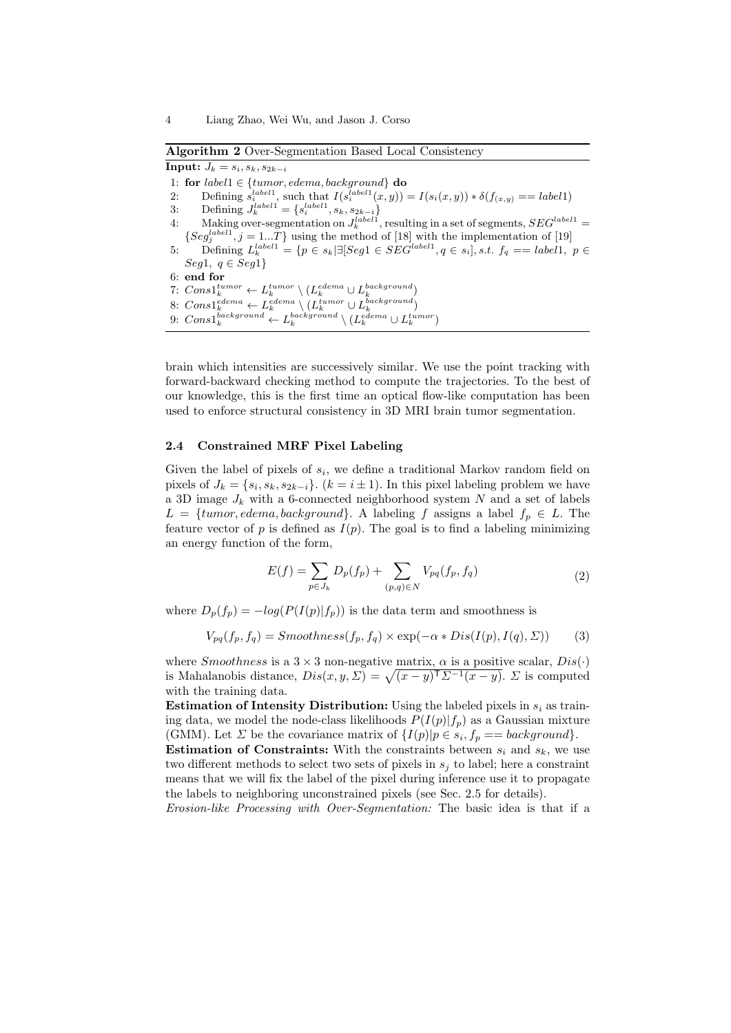Algorithm 2 Over-Segmentation Based Local Consistency

Input:  $J_k = s_i, s_k, s_{2k-i}$ 1: for  $label1 \in \{tumor, edema, background\}$  do 2: Defining  $s_i^{label1}$ , such that  $I(s_i^{label1}(x,y)) = I(s_i(x,y)) * \delta(f_{(x,y)}) = label1$ 3: Defining  $J_k^{label1} = \{s_i^{label1}, s_k, s_{2k-i}\}$ 4: Making over-segmentation on  $J_k^{label1}$ , resulting in a set of segments,  $SEG^{label1} =$  ${Seg<sub>j</sub><sup>label1</sup>, j = 1...T}$  using the method of [18] with the implementation of [19] 5: Defining  $L_k^{label1} = \{p \in s_k | \exists [Seg1 \in SEG^{label1}, q \in s_i], s.t. f_q == label1, p \in S_k \}$ Seg1,  $q \in Seg1$ 6: end for 7:  $Cons1_k^{tumor} \leftarrow L_k^{tumor} \setminus (L_k^{edema} \cup L_k^{background})$ 8:  $Cons1_k^{edema} \leftarrow L_k^{edema} \setminus (L_k^{tumor} \cup L_k^{background})$ 9:  $Cons1_k^{background} \leftarrow L_k^{background} \setminus (L_k^{edema} \cup L_k^{tumor})$ 

brain which intensities are successively similar. We use the point tracking with forward-backward checking method to compute the trajectories. To the best of our knowledge, this is the first time an optical flow-like computation has been used to enforce structural consistency in 3D MRI brain tumor segmentation.

#### 2.4 Constrained MRF Pixel Labeling

Given the label of pixels of  $s_i$ , we define a traditional Markov random field on pixels of  $J_k = \{s_i, s_k, s_{2k-i}\}\$ .  $(k = i \pm 1)$ . In this pixel labeling problem we have a 3D image  $J_k$  with a 6-connected neighborhood system N and a set of labels  $L = \{tumor, edema, background\}$ . A labeling f assigns a label  $f_p \in L$ . The feature vector of p is defined as  $I(p)$ . The goal is to find a labeling minimizing an energy function of the form,

$$
E(f) = \sum_{p \in J_k} D_p(f_p) + \sum_{(p,q) \in N} V_{pq}(f_p, f_q)
$$
\n(2)

where  $D_p(f_p) = -log(P(I(p)|f_p))$  is the data term and smoothness is

$$
V_{pq}(f_p, f_q) = Smoothness(f_p, f_q) \times \exp(-\alpha * Dis(I(p), I(q), \Sigma))
$$
 (3)

where *Smoothness* is a  $3 \times 3$  non-negative matrix,  $\alpha$  is a positive scalar,  $Dis(\cdot)$ is Mahalanobis distance,  $Dis(x, y, \Sigma) = \sqrt{(x - y)^T \Sigma^{-1}(x - y)}$ .  $\Sigma$  is computed with the training data.

**Estimation of Intensity Distribution:** Using the labeled pixels in  $s_i$  as training data, we model the node-class likelihoods  $P(I(p)|f_p)$  as a Gaussian mixture (GMM). Let  $\Sigma$  be the covariance matrix of  $\{I(p)|p \in s_i, f_p == \text{background}\}.$ 

**Estimation of Constraints:** With the constraints between  $s_i$  and  $s_k$ , we use two different methods to select two sets of pixels in  $s_j$  to label; here a constraint means that we will fix the label of the pixel during inference use it to propagate the labels to neighboring unconstrained pixels (see Sec. 2.5 for details).

Erosion-like Processing with Over-Segmentation: The basic idea is that if a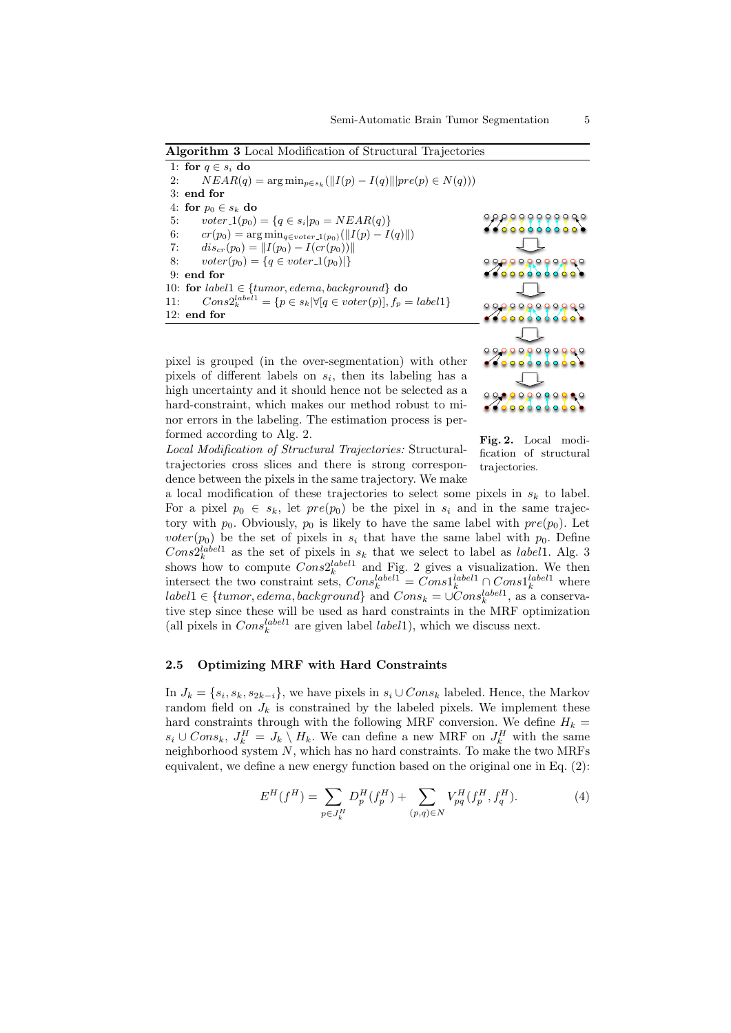Algorithm 3 Local Modification of Structural Trajectories

|     | 1: for $q \in s_i$ do                                                            |  |
|-----|----------------------------------------------------------------------------------|--|
| 2:  | $NEAR(q) = \arg \min_{p \in s_k} (  I(p) - I(q)  ) pre(p) \in N(q))$             |  |
|     | $3:$ end for                                                                     |  |
|     | 4: for $p_0 \in s_k$ do                                                          |  |
| 5:  | $voter_1(p_0) = \{q \in s_i   p_0 = NEAR(q)\}\$                                  |  |
| 6:  | $cr(p_0) = \arg \min_{q \in v \text{oter}\_1(p_0)} (  I(p) - I(q)  )$            |  |
| 7:  | $dis_{cr}(p_0) =   I(p_0) - I(cr(p_0))  $                                        |  |
| 8:  | $voter(p_0) = \{q \in voter_1(p_0) \}$                                           |  |
|     | $9:$ end for                                                                     |  |
|     | 10: for $label1 \in \{tumor, edema, background\}$ do                             |  |
| 11: | $Cons2_k^{label1} \equiv \{p \in s_k   \forall [q \in voter(p)], f_p = label1\}$ |  |
|     | $12:$ end for                                                                    |  |
|     |                                                                                  |  |

pixel is grouped (in the over-segmentation) with other pixels of different labels on  $s_i$ , then its labeling has a high uncertainty and it should hence not be selected as a hard-constraint, which makes our method robust to minor errors in the labeling. The estimation process is performed according to Alg. 2.



Fig. 2. Local modification of structural trajectories.

Local Modification of Structural Trajectories: Structuraltrajectories cross slices and there is strong correspondence between the pixels in the same trajectory. We make a local modification of these trajectories to select some pixels in  $s_k$  to label.

For a pixel  $p_0 \in s_k$ , let  $pre(p_0)$  be the pixel in  $s_i$  and in the same trajectory with  $p_0$ . Obviously,  $p_0$  is likely to have the same label with  $pre(p_0)$ . Let voter( $p_0$ ) be the set of pixels in  $s_i$  that have the same label with  $p_0$ . Define  $Cons2_k^{label1}$  as the set of pixels in  $s_k$  that we select to label as *label* 1. Alg. 3 shows how to compute  $Cons2_k^{label1}$  and Fig. 2 gives a visualization. We then intersect the two constraint sets,  $Cons_k^{label1} = Cons1_k^{label1} \bigcap_{k} Cons1_k^{label1}$  where  $label1 \in \{tumor, edema, background\}$  and  $Cons_k = \cup Cons_k^{label1}$ , as a conservative step since these will be used as hard constraints in the MRF optimization (all pixels in  $Cons_k^{label1}$  are given label *label* 1), which we discuss next.

# 2.5 Optimizing MRF with Hard Constraints

In  $J_k = \{s_i, s_k, s_{2k-i}\}\$ , we have pixels in  $s_i \cup Cons_k$  labeled. Hence, the Markov random field on  $J_k$  is constrained by the labeled pixels. We implement these hard constraints through with the following MRF conversion. We define  $H_k =$  $s_i$  ∪  $Cons_k$ ,  $J_k^H = J_k \setminus H_k$ . We can define a new MRF on  $J_k^H$  with the same neighborhood system  $N$ , which has no hard constraints. To make the two MRFs equivalent, we define a new energy function based on the original one in Eq. (2):

$$
E^{H}(f^{H}) = \sum_{p \in J_{k}^{H}} D_{p}^{H}(f_{p}^{H}) + \sum_{(p,q) \in N} V_{pq}^{H}(f_{p}^{H}, f_{q}^{H}).
$$
\n(4)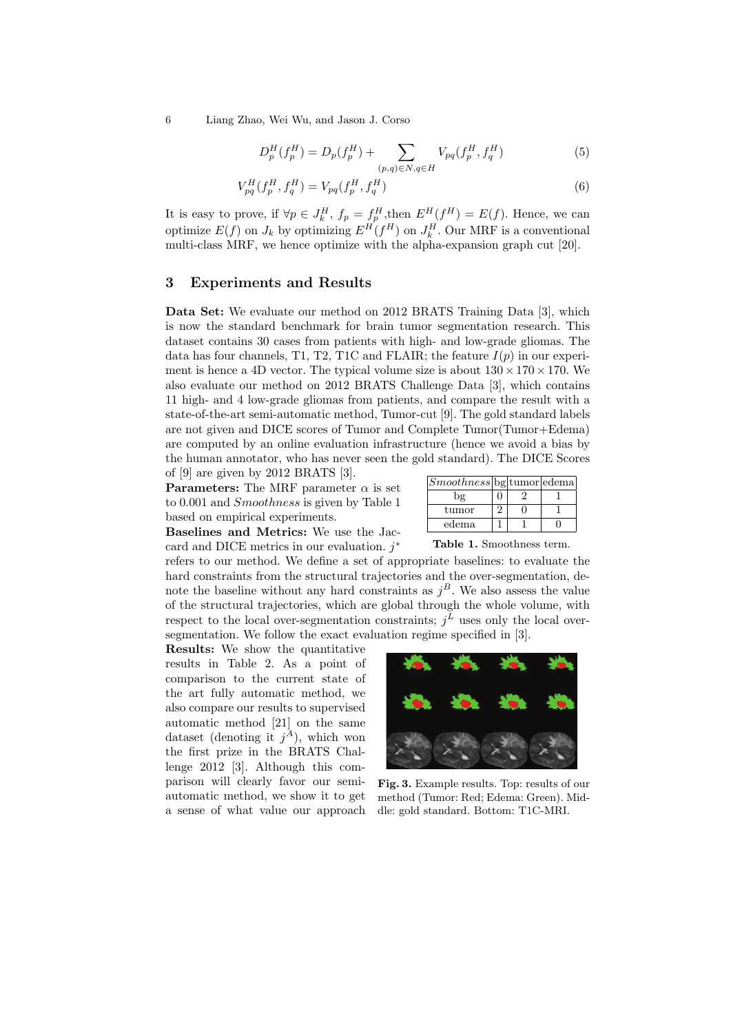6 Liang Zhao, Wei Wu, and Jason J. Corso

$$
D_p^H(f_p^H) = D_p(f_p^H) + \sum_{(p,q)\in N, q\in H} V_{pq}(f_p^H, f_q^H)
$$
\n(5)

$$
V_{pq}^{H}(f_{p}^{H}, f_{q}^{H}) = V_{pq}(f_{p}^{H}, f_{q}^{H})
$$
\n(6)

It is easy to prove, if  $\forall p \in J_k^H$ ,  $f_p = f_p^H$ , then  $E^H(f^H) = E(f)$ . Hence, we can optimize  $E(f)$  on  $J_k$  by optimizing  $E^H(f^H)$  on  $J_k^H$ . Our MRF is a conventional multi-class MRF, we hence optimize with the alpha-expansion graph cut [20].

# 3 Experiments and Results

Data Set: We evaluate our method on 2012 BRATS Training Data [3], which is now the standard benchmark for brain tumor segmentation research. This dataset contains 30 cases from patients with high- and low-grade gliomas. The data has four channels, T1, T2, T1C and FLAIR; the feature  $I(p)$  in our experiment is hence a 4D vector. The typical volume size is about  $130 \times 170 \times 170$ . We also evaluate our method on 2012 BRATS Challenge Data [3], which contains 11 high- and 4 low-grade gliomas from patients, and compare the result with a state-of-the-art semi-automatic method, Tumor-cut [9]. The gold standard labels are not given and DICE scores of Tumor and Complete Tumor(Tumor+Edema) are computed by an online evaluation infrastructure (hence we avoid a bias by the human annotator, who has never seen the gold standard). The DICE Scores of [9] are given by 2012 BRATS [3].

**Parameters:** The MRF parameter  $\alpha$  is set to 0.001 and Smoothness is given by Table 1 based on empirical experiments.

| $Smoothness$   bg   tumor   edema |  |  |
|-----------------------------------|--|--|
| bε                                |  |  |
| tumor                             |  |  |
| edema                             |  |  |

Baselines and Metrics: We use the Jaccard and DICE metrics in our evaluation.  $j^*$ 

refers to our method. We define a set of appropriate baselines: to evaluate the hard constraints from the structural trajectories and the over-segmentation, denote the baseline without any hard constraints as  $j<sup>B</sup>$ . We also assess the value of the structural trajectories, which are global through the whole volume, with respect to the local over-segmentation constraints;  $j<sup>L</sup>$  uses only the local oversegmentation. We follow the exact evaluation regime specified in [3].

Results: We show the quantitative results in Table 2. As a point of comparison to the current state of the art fully automatic method, we also compare our results to supervised automatic method [21] on the same dataset (denoting it  $j^A$ ), which won the first prize in the BRATS Challenge 2012 [3]. Although this comparison will clearly favor our semiautomatic method, we show it to get a sense of what value our approach

Table 1. Smoothness term.



Fig. 3. Example results. Top: results of our method (Tumor: Red; Edema: Green). Middle: gold standard. Bottom: T1C-MRI.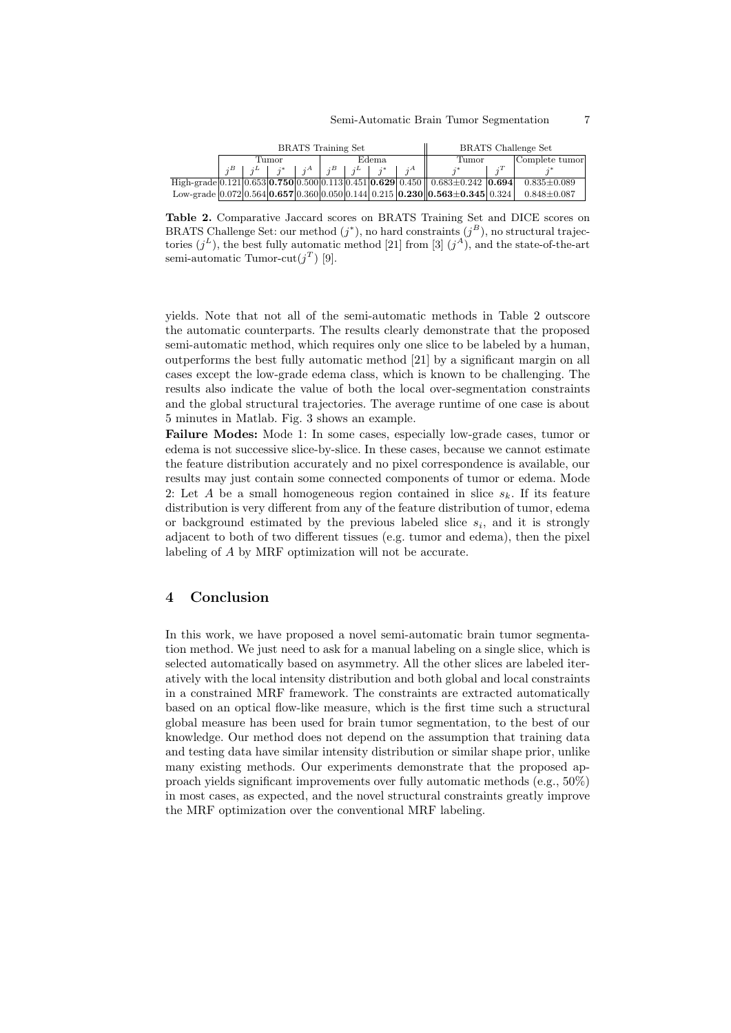| <b>BRATS</b> Training Set |             |  |               |                 |            |       | <b>BRATS</b> Challenge Set |                                                                                                                               |  |                   |
|---------------------------|-------------|--|---------------|-----------------|------------|-------|----------------------------|-------------------------------------------------------------------------------------------------------------------------------|--|-------------------|
| Tumor                     |             |  | Edema         |                 |            | Tumor |                            | Complete tumor                                                                                                                |  |                   |
|                           | $i^L$ $i^*$ |  | $\cdot$ $i^A$ | $\mathcal{A}^B$ | $\pm iL +$ |       |                            |                                                                                                                               |  |                   |
|                           |             |  |               |                 |            |       |                            | High-grade $[0.121] 0.653$   <b>0.750</b> $[0.500] 0.113$   0.451   <b>0.629</b>   0.450     0.683 $\pm$ 0.242   <b>0.694</b> |  | $0.835 \pm 0.089$ |
|                           |             |  |               |                 |            |       |                            | Low-grade $[0.072]0.564]0.657]0.360]0.050]0.144]0.215]0.230]0.563\pm0.345]0.324]$                                             |  | $0.848 \pm 0.087$ |

Table 2. Comparative Jaccard scores on BRATS Training Set and DICE scores on BRATS Challenge Set: our method  $(j^*)$ , no hard constraints  $(j^B)$ , no structural trajectories  $(j^L)$ , the best fully automatic method [21] from [3]  $(j^A)$ , and the state-of-the-art semi-automatic Tumor-cut $(j<sup>T</sup>)$  [9].

yields. Note that not all of the semi-automatic methods in Table 2 outscore the automatic counterparts. The results clearly demonstrate that the proposed semi-automatic method, which requires only one slice to be labeled by a human, outperforms the best fully automatic method [21] by a significant margin on all cases except the low-grade edema class, which is known to be challenging. The results also indicate the value of both the local over-segmentation constraints and the global structural trajectories. The average runtime of one case is about 5 minutes in Matlab. Fig. 3 shows an example.

Failure Modes: Mode 1: In some cases, especially low-grade cases, tumor or edema is not successive slice-by-slice. In these cases, because we cannot estimate the feature distribution accurately and no pixel correspondence is available, our results may just contain some connected components of tumor or edema. Mode 2: Let A be a small homogeneous region contained in slice  $s_k$ . If its feature distribution is very different from any of the feature distribution of tumor, edema or background estimated by the previous labeled slice  $s_i$ , and it is strongly adjacent to both of two different tissues (e.g. tumor and edema), then the pixel labeling of A by MRF optimization will not be accurate.

# 4 Conclusion

In this work, we have proposed a novel semi-automatic brain tumor segmentation method. We just need to ask for a manual labeling on a single slice, which is selected automatically based on asymmetry. All the other slices are labeled iteratively with the local intensity distribution and both global and local constraints in a constrained MRF framework. The constraints are extracted automatically based on an optical flow-like measure, which is the first time such a structural global measure has been used for brain tumor segmentation, to the best of our knowledge. Our method does not depend on the assumption that training data and testing data have similar intensity distribution or similar shape prior, unlike many existing methods. Our experiments demonstrate that the proposed approach yields significant improvements over fully automatic methods (e.g., 50%) in most cases, as expected, and the novel structural constraints greatly improve the MRF optimization over the conventional MRF labeling.